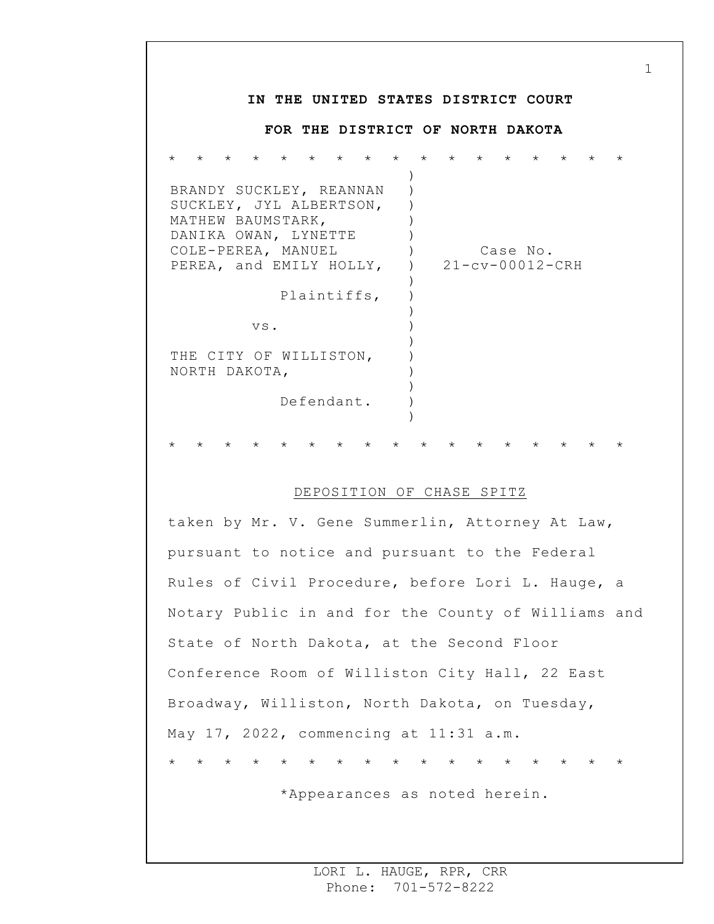## **IN THE UNITED STATES DISTRICT COURT FOR THE DISTRICT OF NORTH DAKOTA** \* \* \* \* \* \* \* \* \* \* \* \* \* \* \* \* \* BRANDY SUCKLEY, REANNAN SUCKLEY, JYL ALBERTSON, MATHEW BAUMSTARK, DANIKA OWAN, LYNETTE COLE-PEREA, MANUEL PEREA, and EMILY HOLLY, Plaintiffs, vs. THE CITY OF WILLISTON, NORTH DAKOTA, Defendant. ) ) ) )  $\left( \right)$  $)$  $\left( \right)$ )  $\left( \right)$ ) ) ) ) ) ) ) ) Case No. 21-cv-00012-CRH \* \* \* \* \* \* \* \* \* \* \* \* \* \* \* \* \*

## DEPOSITION OF CHASE SPITZ

taken by Mr. V. Gene Summerlin, Attorney At Law, pursuant to notice and pursuant to the Federal Rules of Civil Procedure, before Lori L. Hauge, a Notary Public in and for the County of Williams and State of North Dakota, at the Second Floor Conference Room of Williston City Hall, 22 East Broadway, Williston, North Dakota, on Tuesday, May 17, 2022, commencing at 11:31 a.m. \* \* \* \* \* \* \* \* \* \* \* \* \* \* \* \* \*

\*Appearances as noted herein.

1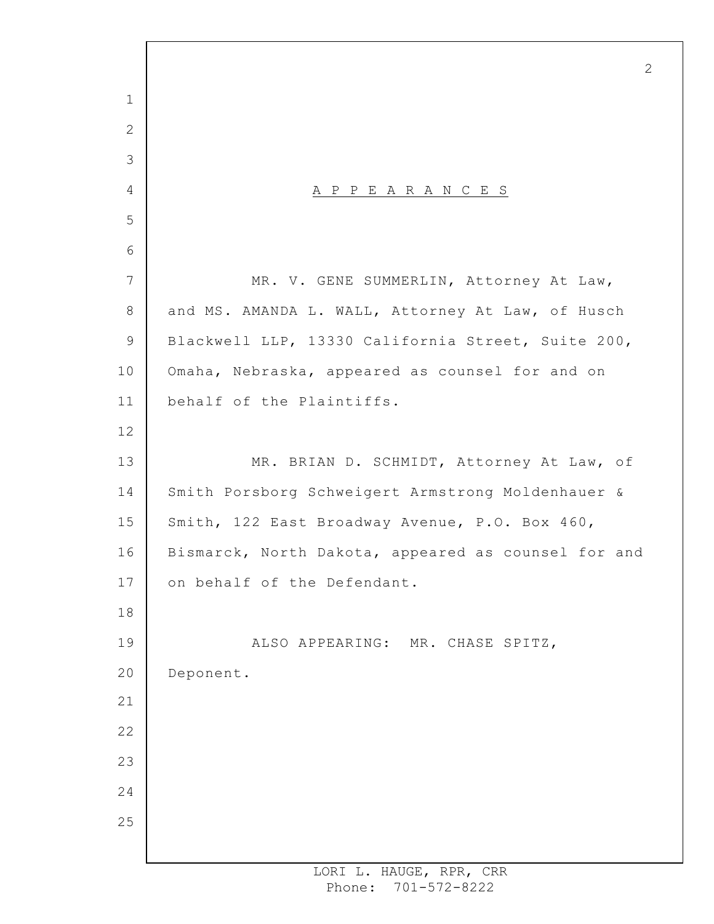A P P E A R A N C E S MR. V. GENE SUMMERLIN, Attorney At Law, and MS. AMANDA L. WALL, Attorney At Law, of Husch Blackwell LLP, 13330 California Street, Suite 200, Omaha, Nebraska, appeared as counsel for and on behalf of the Plaintiffs. MR. BRIAN D. SCHMIDT, Attorney At Law, of Smith Porsborg Schweigert Armstrong Moldenhauer & Smith, 122 East Broadway Avenue, P.O. Box 460, Bismarck, North Dakota, appeared as counsel for and on behalf of the Defendant. ALSO APPEARING: MR. CHASE SPITZ, Deponent.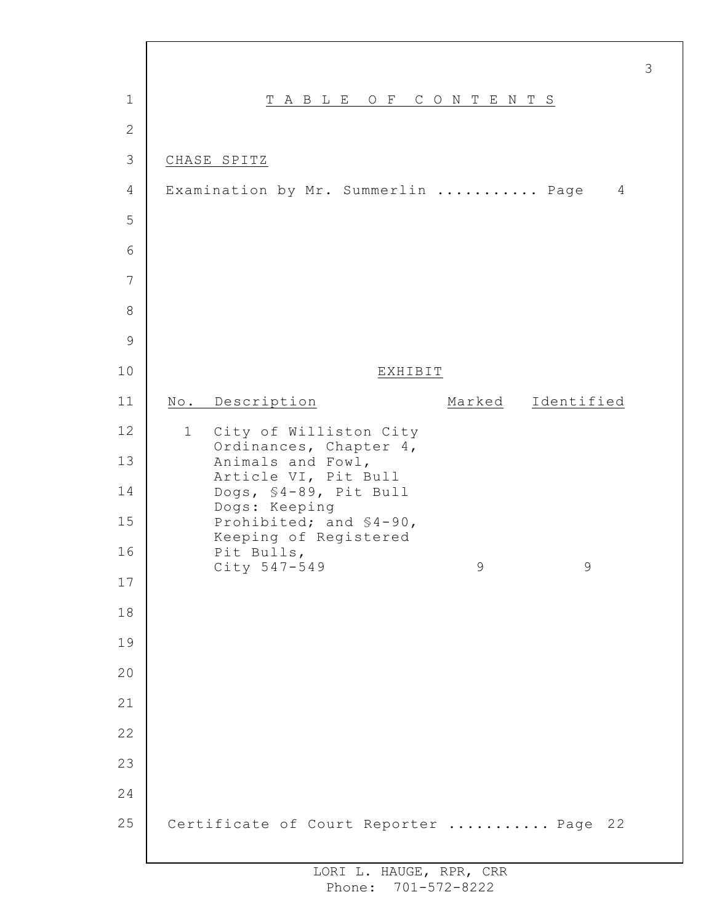| $\mathbf 1$    |                                     | TABLE OF CONTENTS                                |         |   |                   |
|----------------|-------------------------------------|--------------------------------------------------|---------|---|-------------------|
| $\mathbf{2}$   |                                     |                                                  |         |   |                   |
| 3              | CHASE SPITZ                         |                                                  |         |   |                   |
| $\overline{4}$ | Examination by Mr. Summerlin  Page  |                                                  |         |   | 4                 |
| 5              |                                     |                                                  |         |   |                   |
| 6              |                                     |                                                  |         |   |                   |
| 7              |                                     |                                                  |         |   |                   |
| 8              |                                     |                                                  |         |   |                   |
| 9              |                                     |                                                  |         |   |                   |
| 10             |                                     |                                                  | EXHIBIT |   |                   |
| 11             | No. Description                     |                                                  |         |   | Marked Identified |
| 12             | 1 City of Williston City            | Ordinances, Chapter 4,                           |         |   |                   |
| 13             |                                     | Animals and Fowl,<br>Article VI, Pit Bull        |         |   |                   |
| 14             | Dogs: Keeping                       | Dogs, \$4-89, Pit Bull                           |         |   |                   |
| 15             |                                     | Prohibited; and \$4-90,<br>Keeping of Registered |         |   |                   |
| 16             | Pit Bulls,<br>City 547-549          |                                                  |         | 9 | 9                 |
| 17             |                                     |                                                  |         |   |                   |
| 18             |                                     |                                                  |         |   |                   |
| 19             |                                     |                                                  |         |   |                   |
| 20             |                                     |                                                  |         |   |                   |
| 21             |                                     |                                                  |         |   |                   |
| 22             |                                     |                                                  |         |   |                   |
| 23             |                                     |                                                  |         |   |                   |
| 24             |                                     |                                                  |         |   |                   |
| 25             | Certificate of Court Reporter  Page |                                                  |         |   | 22                |

 $\Gamma$ 

3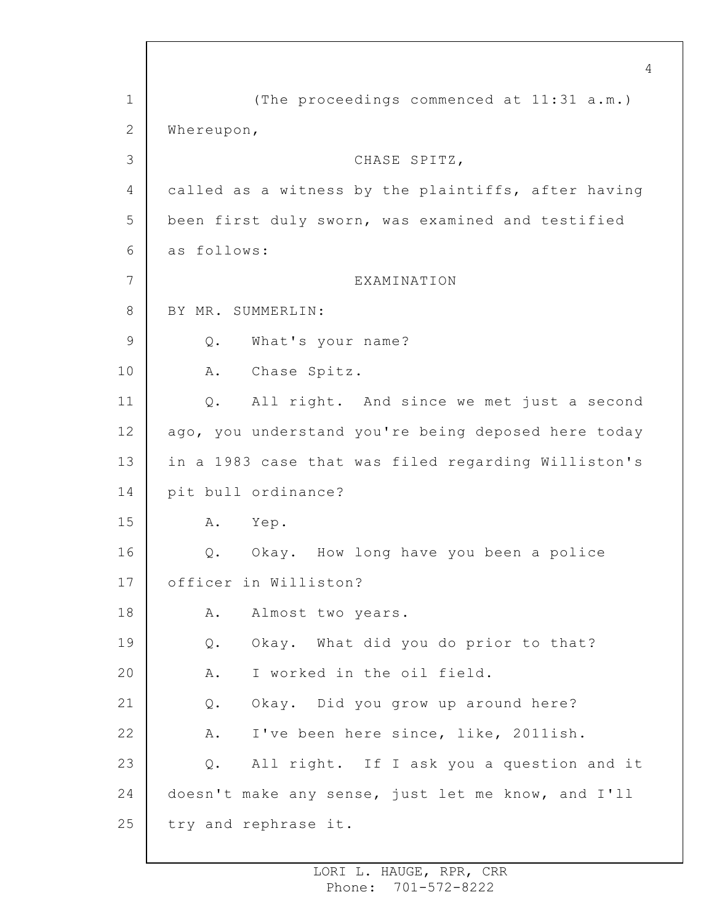1 2 3 4 5 6 7 8 9 10 11 12 13 14 15 16 17 18 19 20 21 22 23 24 25 4 (The proceedings commenced at 11:31 a.m.) Whereupon, CHASE SPITZ, called as a witness by the plaintiffs, after having been first duly sworn, was examined and testified as follows: EXAMINATION BY MR. SUMMERLIN: Q. What's your name? A. Chase Spitz. Q. All right. And since we met just a second ago, you understand you're being deposed here today in a 1983 case that was filed regarding Williston's pit bull ordinance? A. Yep. Q. Okay. How long have you been a police officer in Williston? A. Almost two years. Q. Okay. What did you do prior to that? A. I worked in the oil field. Q. Okay. Did you grow up around here? A. I've been here since, like, 2011ish. Q. All right. If I ask you a question and it doesn't make any sense, just let me know, and I'll try and rephrase it.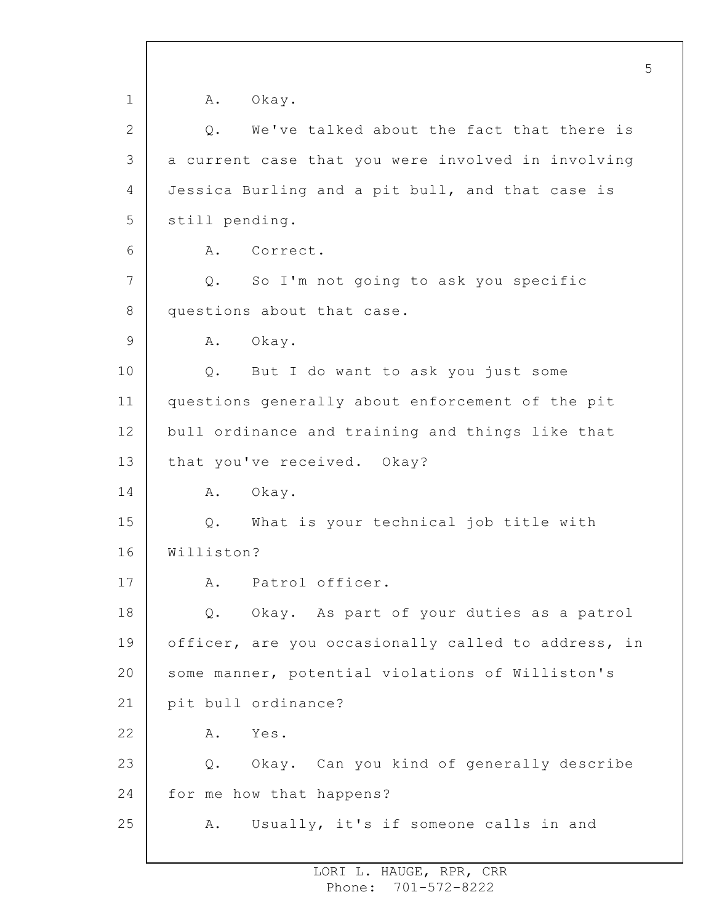1 2 3 4 5 6 7 8 9 10 11 12 13 14 15 16 17 18 19 20 21 22 23 24 25 5 A. Okay. Q. We've talked about the fact that there is a current case that you were involved in involving Jessica Burling and a pit bull, and that case is still pending. A. Correct. Q. So I'm not going to ask you specific questions about that case. A. Okay. Q. But I do want to ask you just some questions generally about enforcement of the pit bull ordinance and training and things like that that you've received. Okay? A. Okay. Q. What is your technical job title with Williston? A. Patrol officer. Q. Okay. As part of your duties as a patrol officer, are you occasionally called to address, in some manner, potential violations of Williston's pit bull ordinance? A. Yes. Q. Okay. Can you kind of generally describe for me how that happens? A. Usually, it's if someone calls in and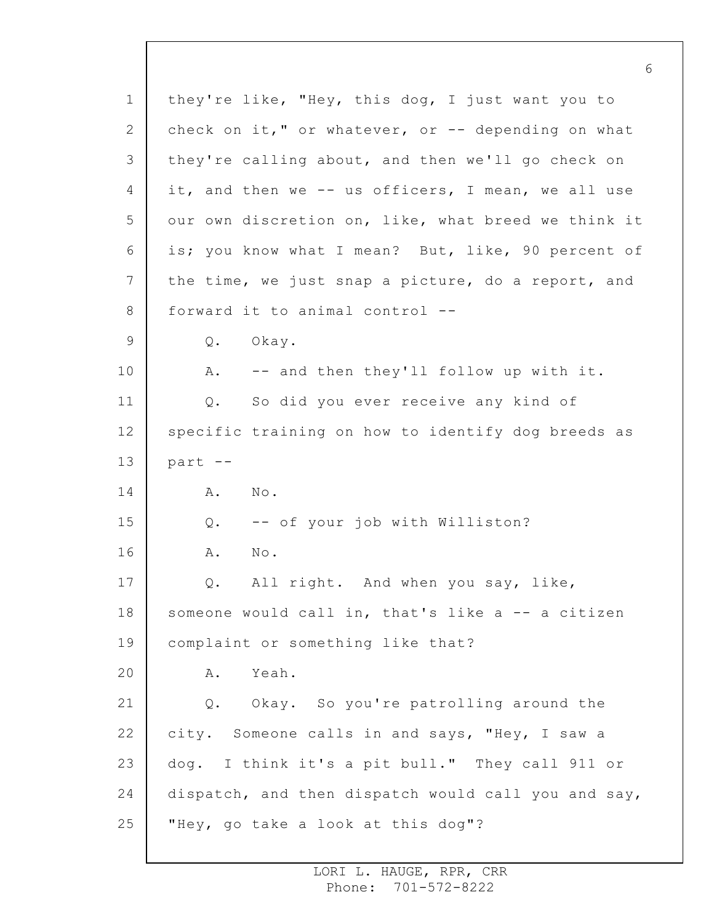1 2 3 4 5 6 7 8 9 10 11 12 13 14 15 16 17 18 19 20 21 22 23 24 25 they're like, "Hey, this dog, I just want you to check on it," or whatever, or  $-$  depending on what they're calling about, and then we'll go check on it, and then we -- us officers, I mean, we all use our own discretion on, like, what breed we think it is; you know what I mean? But, like, 90 percent of the time, we just snap a picture, do a report, and forward it to animal control -- Q. Okay. A. -- and then they'll follow up with it. Q. So did you ever receive any kind of specific training on how to identify dog breeds as part -- A. No. Q. -- of your job with Williston? A. No. Q. All right. And when you say, like, someone would call in, that's like a -- a citizen complaint or something like that? A. Yeah. Q. Okay. So you're patrolling around the city. Someone calls in and says, "Hey, I saw a dog. I think it's a pit bull." They call 911 or dispatch, and then dispatch would call you and say, "Hey, go take a look at this dog"?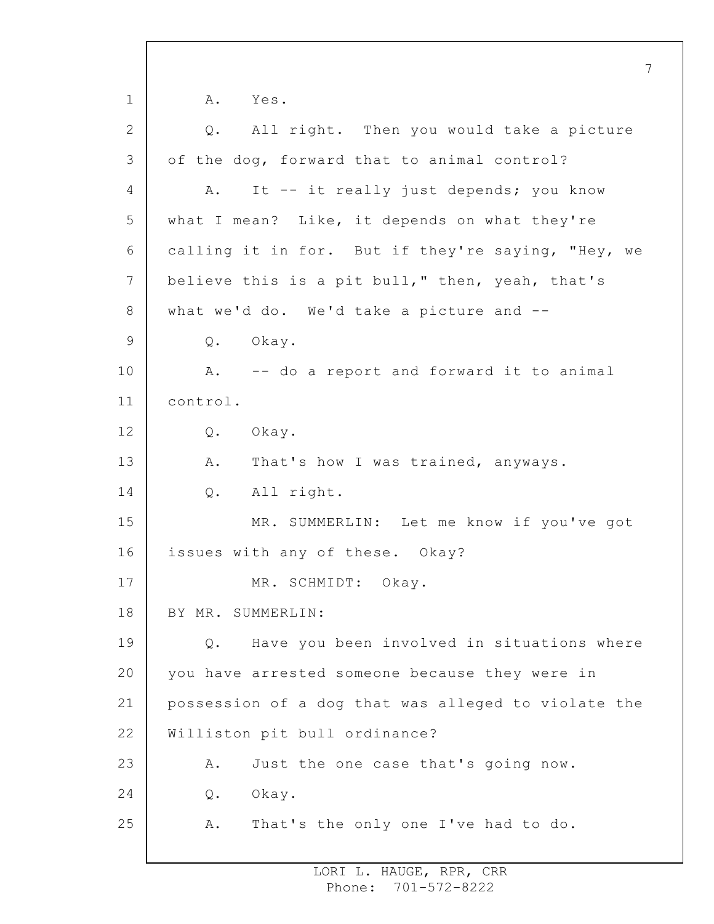1 2 3 4 5 6 7 8 9 10 11 12 13 14 15 16 17 18 19 20 21 22 23 24 25 7 A. Yes. Q. All right. Then you would take a picture of the dog, forward that to animal control? A. It -- it really just depends; you know what I mean? Like, it depends on what they're calling it in for. But if they're saying, "Hey, we believe this is a pit bull," then, yeah, that's what we'd do. We'd take a picture and -- Q. Okay. A. -- do a report and forward it to animal control. Q. Okay. A. That's how I was trained, anyways. Q. All right. MR. SUMMERLIN: Let me know if you've got issues with any of these. Okay? MR. SCHMIDT: Okay. BY MR. SUMMERLIN: Q. Have you been involved in situations where you have arrested someone because they were in possession of a dog that was alleged to violate the Williston pit bull ordinance? A. Just the one case that's going now. Q. Okay. A. That's the only one I've had to do.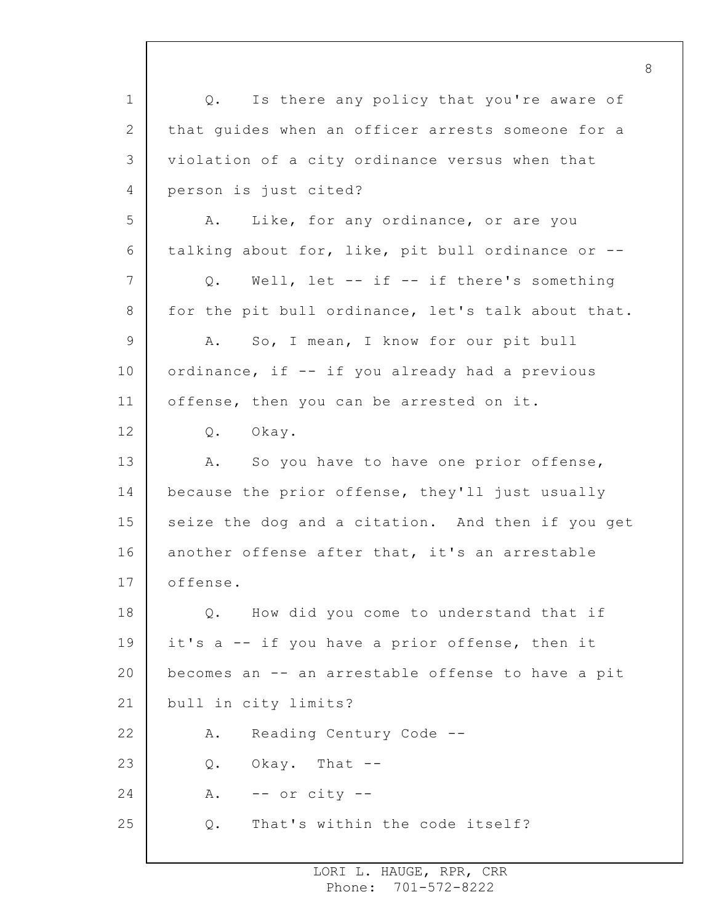1 2 3 4 5 6 7 8 9 10 11 12 13 14 15 16 17 18 19 20 21 22 23 24 25 Q. Is there any policy that you're aware of that guides when an officer arrests someone for a violation of a city ordinance versus when that person is just cited? A. Like, for any ordinance, or are you talking about for, like, pit bull ordinance or -- Q. Well, let -- if -- if there's something for the pit bull ordinance, let's talk about that. A. So, I mean, I know for our pit bull ordinance, if -- if you already had a previous offense, then you can be arrested on it. Q. Okay. A. So you have to have one prior offense, because the prior offense, they'll just usually seize the dog and a citation. And then if you get another offense after that, it's an arrestable offense. Q. How did you come to understand that if it's a -- if you have a prior offense, then it becomes an -- an arrestable offense to have a pit bull in city limits? A. Reading Century Code -- Q. Okay. That --  $A.$  -- or city --Q. That's within the code itself?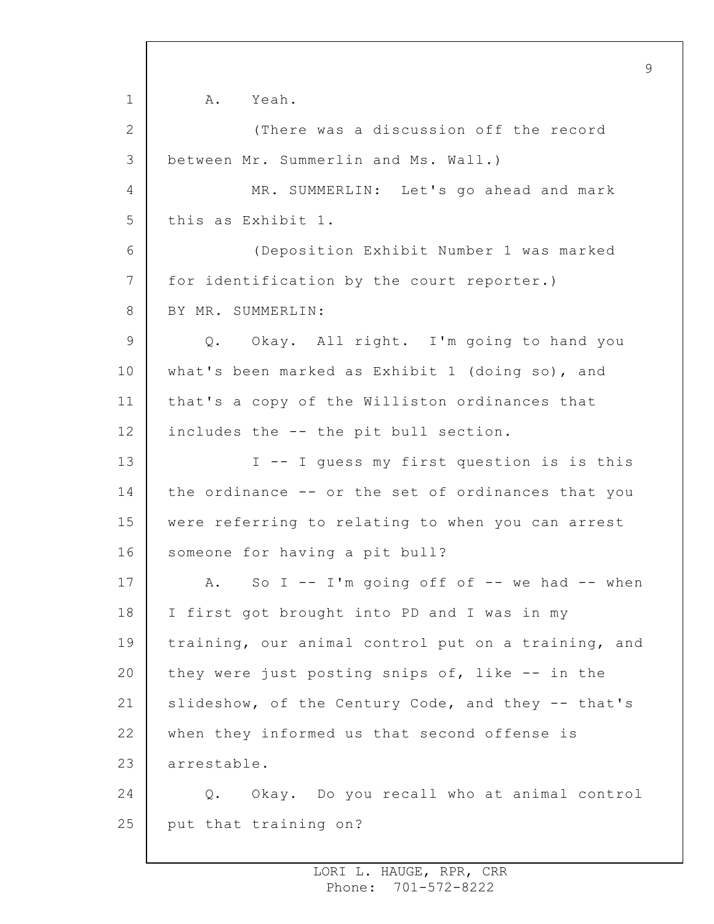1 2 3 4 5 6 7 8 9 10 11 12 13 14 15 16 17 18 19 20 21 22 23 24 25 A. Yeah. (There was a discussion off the record between Mr. Summerlin and Ms. Wall.) MR. SUMMERLIN: Let's go ahead and mark this as Exhibit 1. (Deposition Exhibit Number 1 was marked for identification by the court reporter.) BY MR. SUMMERLIN: Q. Okay. All right. I'm going to hand you what's been marked as Exhibit 1 (doing so), and that's a copy of the Williston ordinances that includes the -- the pit bull section. I -- I guess my first question is is this the ordinance -- or the set of ordinances that you were referring to relating to when you can arrest someone for having a pit bull? A. So I  $-$  I'm going off of  $-$  we had  $-$  when I first got brought into PD and I was in my training, our animal control put on a training, and they were just posting snips of, like -- in the slideshow, of the Century Code, and they -- that's when they informed us that second offense is arrestable. Q. Okay. Do you recall who at animal control put that training on?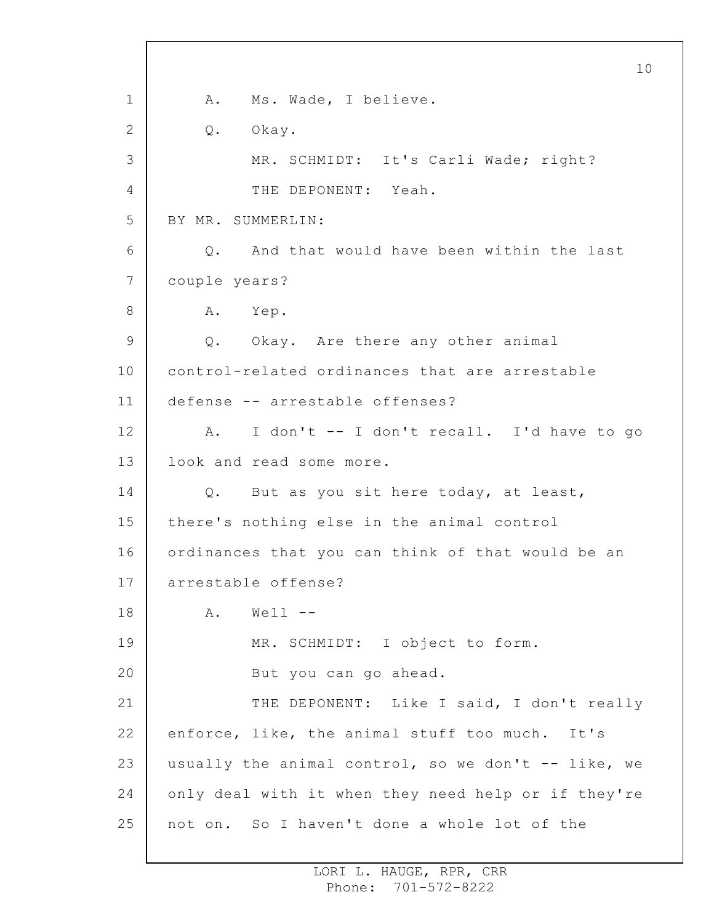1 2 3 4 5 6 7 8 9 10 11 12 13 14 15 16 17 18 19 20 21 22 23 24 25 10 A. Ms. Wade, I believe. Q. Okay. MR. SCHMIDT: It's Carli Wade; right? THE DEPONENT: Yeah. BY MR. SUMMERLIN: Q. And that would have been within the last couple years? A. Yep. Q. Okay. Are there any other animal control-related ordinances that are arrestable defense -- arrestable offenses? A. I don't -- I don't recall. I'd have to go look and read some more. Q. But as you sit here today, at least, there's nothing else in the animal control ordinances that you can think of that would be an arrestable offense?  $A.$  Well  $--$ MR. SCHMIDT: I object to form. But you can go ahead. THE DEPONENT: Like I said, I don't really enforce, like, the animal stuff too much. It's usually the animal control, so we don't -- like, we only deal with it when they need help or if they're not on. So I haven't done a whole lot of the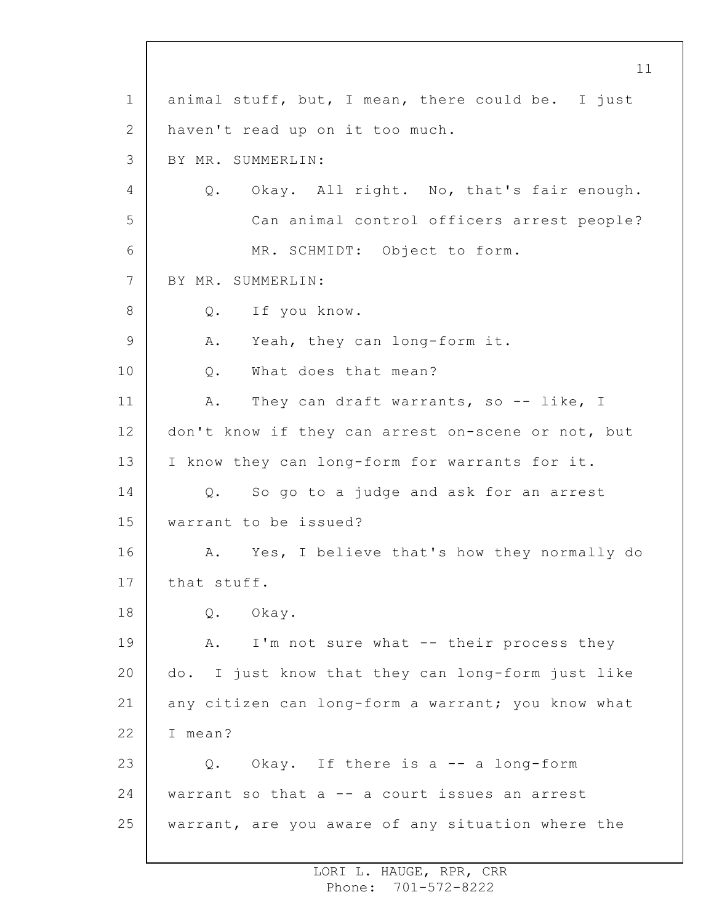1 2 3 4 5 6 7 8 9 10 11 12 13 14 15 16 17 18 19 20 21 22 23 24 25 animal stuff, but, I mean, there could be. I just haven't read up on it too much. BY MR. SUMMERLIN: Q. Okay. All right. No, that's fair enough. Can animal control officers arrest people? MR. SCHMIDT: Object to form. BY MR. SUMMERLIN: Q. If you know. A. Yeah, they can long-form it. Q. What does that mean? A. They can draft warrants, so -- like, I don't know if they can arrest on-scene or not, but I know they can long-form for warrants for it. Q. So go to a judge and ask for an arrest warrant to be issued? A. Yes, I believe that's how they normally do that stuff. Q. Okay. A. I'm not sure what -- their process they do. I just know that they can long-form just like any citizen can long-form a warrant; you know what I mean? Q. Okay. If there is a -- a long-form warrant so that a -- a court issues an arrest warrant, are you aware of any situation where the

> LORI L. HAUGE, RPR, CRR Phone: 701-572-8222

11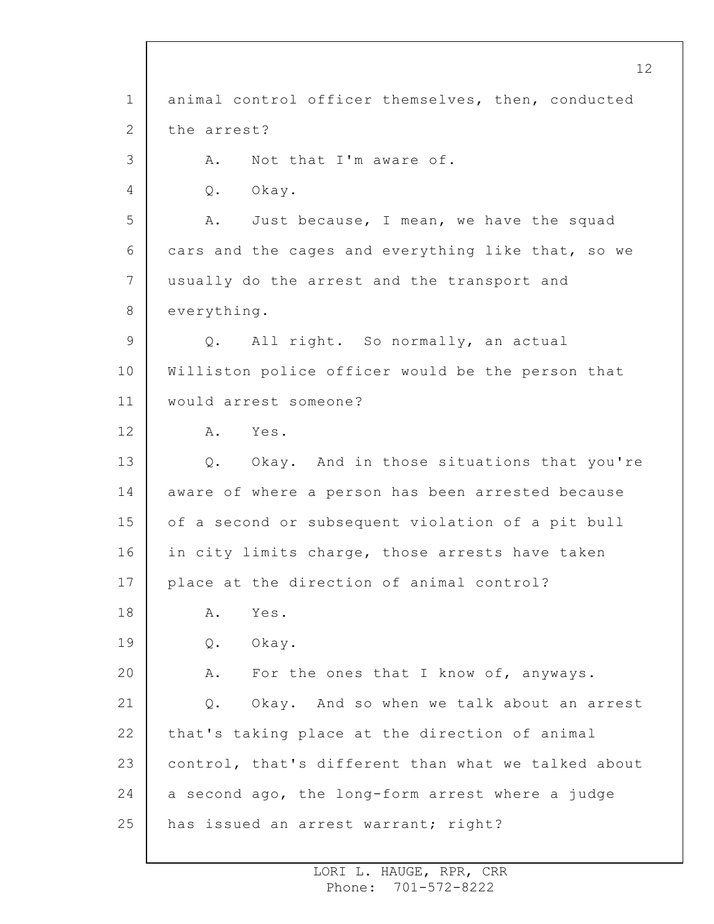1 2 3 4 5 6 7 8 9 10 11 12 13 14 15 16 17 18 19 20 21 22 23 24 25 animal control officer themselves, then, conducted the arrest? A. Not that I'm aware of. Q. Okay. A. Just because, I mean, we have the squad cars and the cages and everything like that, so we usually do the arrest and the transport and everything. Q. All right. So normally, an actual Williston police officer would be the person that would arrest someone? A. Yes. Q. Okay. And in those situations that you're aware of where a person has been arrested because of a second or subsequent violation of a pit bull in city limits charge, those arrests have taken place at the direction of animal control? A. Yes. Q. Okay. A. For the ones that I know of, anyways. Q. Okay. And so when we talk about an arrest that's taking place at the direction of animal control, that's different than what we talked about a second ago, the long-form arrest where a judge has issued an arrest warrant; right?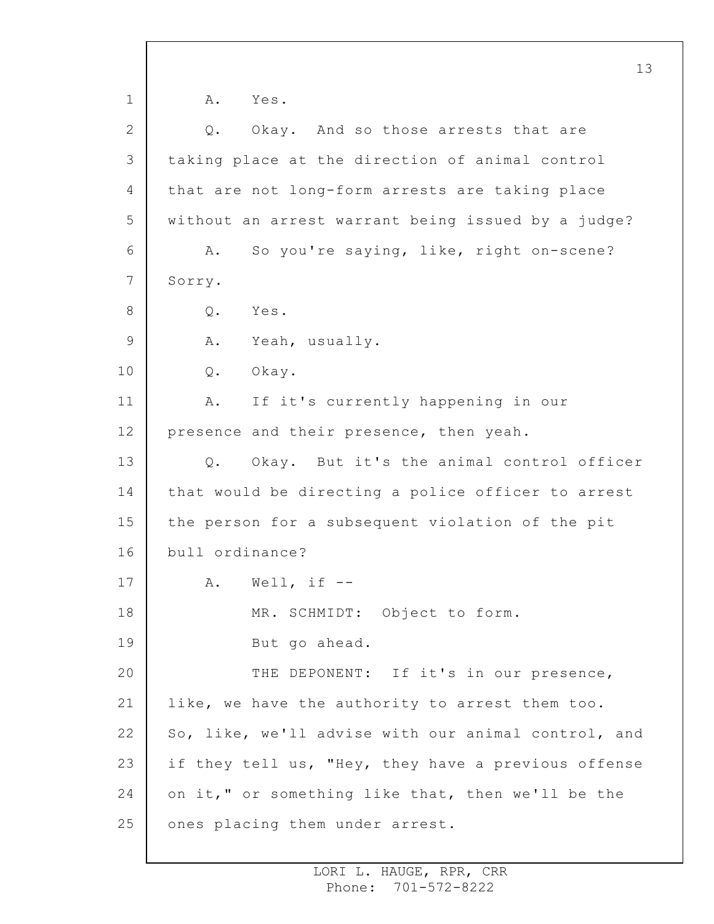1 2 3 4 5 6 7 8 9 10 11 12 13 14 15 16 17 18 19 20 21 22 23 24 25 13 A. Yes. Q. Okay. And so those arrests that are taking place at the direction of animal control that are not long-form arrests are taking place without an arrest warrant being issued by a judge? A. So you're saying, like, right on-scene? Sorry. Q. Yes. A. Yeah, usually. Q. Okay. A. If it's currently happening in our presence and their presence, then yeah. Q. Okay. But it's the animal control officer that would be directing a police officer to arrest the person for a subsequent violation of the pit bull ordinance?  $A.$  Well, if  $-$ MR. SCHMIDT: Object to form. But go ahead. THE DEPONENT: If it's in our presence, like, we have the authority to arrest them too. So, like, we'll advise with our animal control, and if they tell us, "Hey, they have a previous offense on it," or something like that, then we'll be the ones placing them under arrest.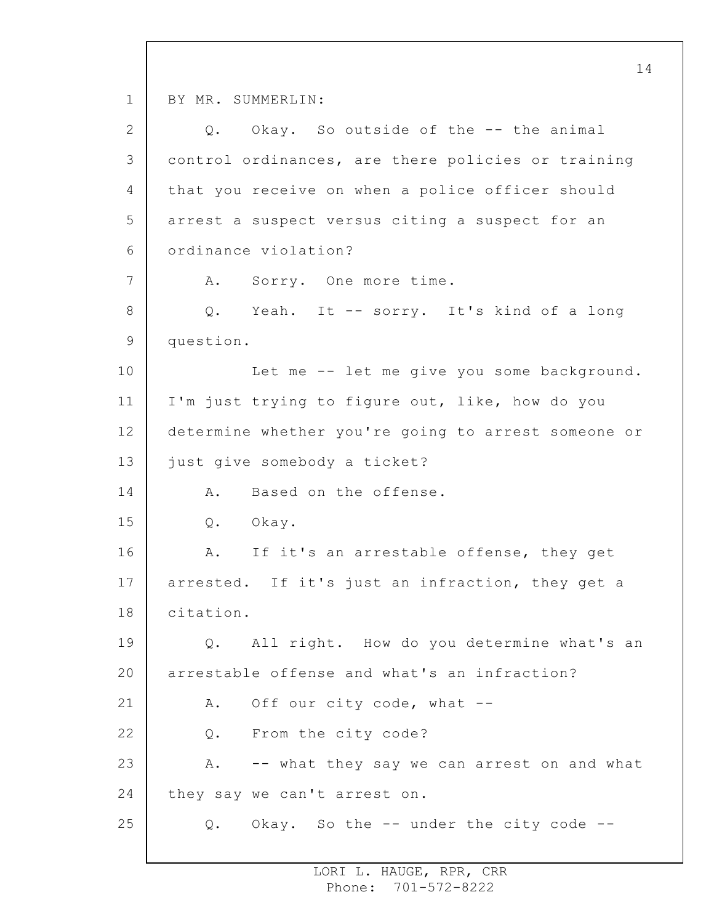1 2 3 4 5 6 7 8 9 10 11 12 13 14 15 16 17 18 19 20 21 22 23 24 25 BY MR. SUMMERLIN: Q. Okay. So outside of the -- the animal control ordinances, are there policies or training that you receive on when a police officer should arrest a suspect versus citing a suspect for an ordinance violation? A. Sorry. One more time. Q. Yeah. It -- sorry. It's kind of a long question. Let me -- let me give you some background. I'm just trying to figure out, like, how do you determine whether you're going to arrest someone or just give somebody a ticket? A. Based on the offense. Q. Okay. A. If it's an arrestable offense, they get arrested. If it's just an infraction, they get a citation. Q. All right. How do you determine what's an arrestable offense and what's an infraction? A. Off our city code, what -- Q. From the city code? A. -- what they say we can arrest on and what they say we can't arrest on. Q. Okay. So the -- under the city code --

> LORI L. HAUGE, RPR, CRR Phone: 701-572-8222

14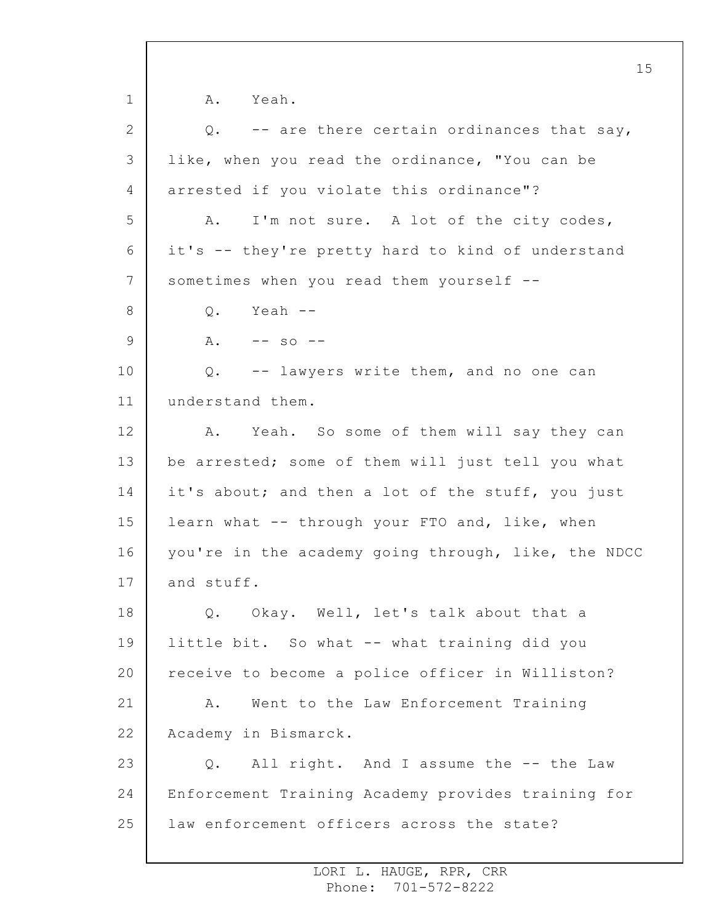1 2 3 4 5 6 7 8 9 10 11 12 13 14 15 16 17 18 19 20 21 22 23 24 25 15 A. Yeah. Q. -- are there certain ordinances that say, like, when you read the ordinance, "You can be arrested if you violate this ordinance"? A. I'm not sure. A lot of the city codes, it's -- they're pretty hard to kind of understand sometimes when you read them yourself -- Q. Yeah --  $A. \t-- so --$ Q. -- lawyers write them, and no one can understand them. A. Yeah. So some of them will say they can be arrested; some of them will just tell you what it's about; and then a lot of the stuff, you just learn what -- through your FTO and, like, when you're in the academy going through, like, the NDCC and stuff. Q. Okay. Well, let's talk about that a little bit. So what -- what training did you receive to become a police officer in Williston? A. Went to the Law Enforcement Training Academy in Bismarck. Q. All right. And I assume the -- the Law Enforcement Training Academy provides training for law enforcement officers across the state?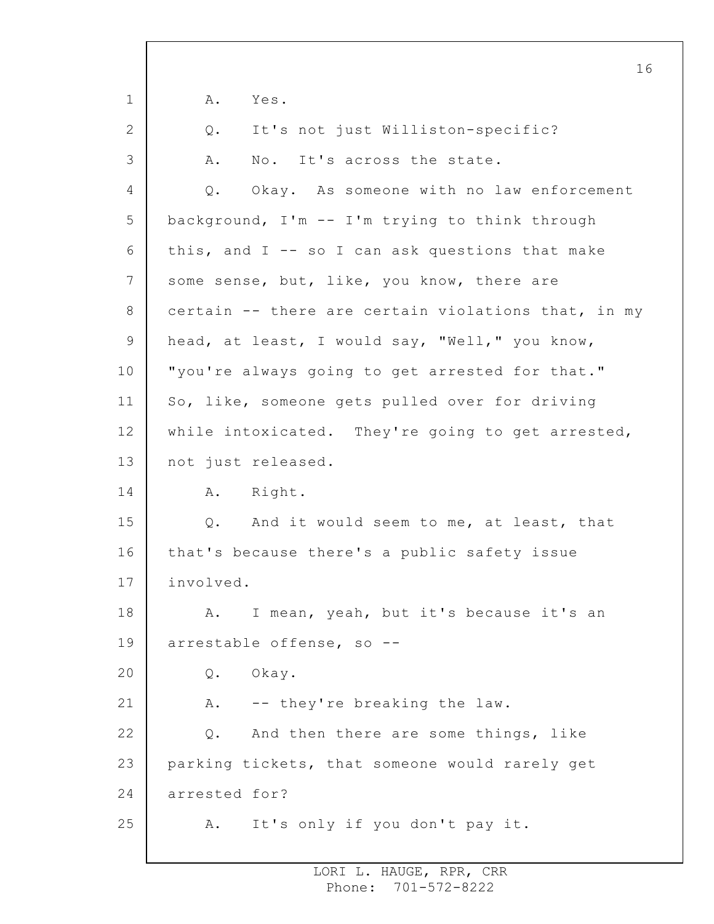1 2 3 4 5 6 7 8 9 10 11 12 13 14 15 16 17 18 19 20 21 22 23 24 25 16 A. Yes. Q. It's not just Williston-specific? A. No. It's across the state. Q. Okay. As someone with no law enforcement background, I'm -- I'm trying to think through this, and  $I$  -- so I can ask questions that make some sense, but, like, you know, there are certain -- there are certain violations that, in my head, at least, I would say, "Well," you know, "you're always going to get arrested for that." So, like, someone gets pulled over for driving while intoxicated. They're going to get arrested, not just released. A. Right. Q. And it would seem to me, at least, that that's because there's a public safety issue involved. A. I mean, yeah, but it's because it's an arrestable offense, so -- Q. Okay. A. -- they're breaking the law. Q. And then there are some things, like parking tickets, that someone would rarely get arrested for? A. It's only if you don't pay it.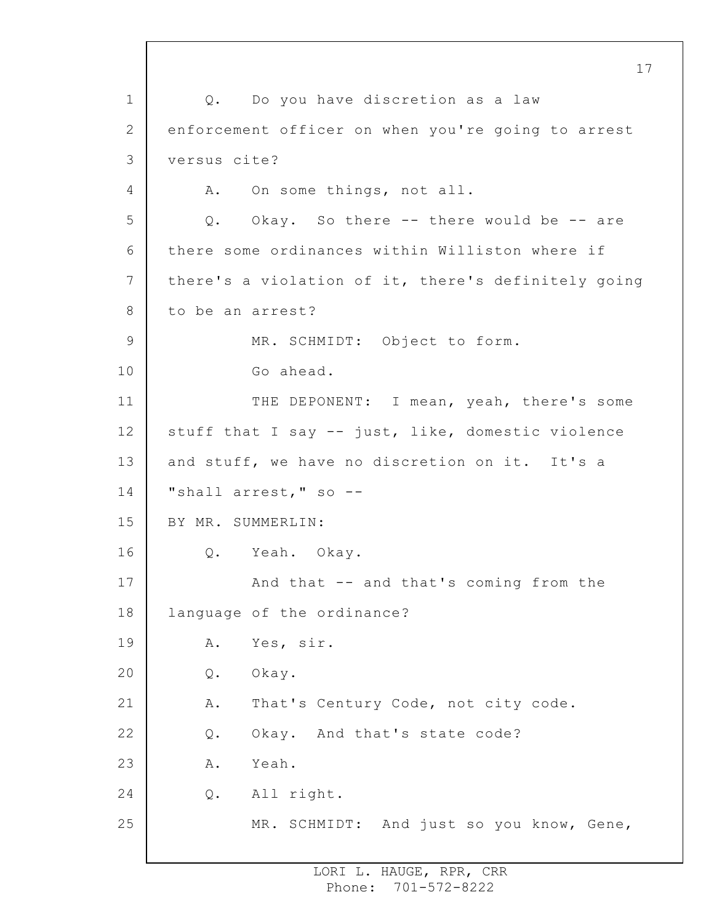1 2 3 4 5 6 7 8 9 10 11 12 13 14 15 16 17 18 19 20 21 22 23 24 25 17 Q. Do you have discretion as a law enforcement officer on when you're going to arrest versus cite? A. On some things, not all. Q. Okay. So there -- there would be -- are there some ordinances within Williston where if there's a violation of it, there's definitely going to be an arrest? MR. SCHMIDT: Object to form. Go ahead. THE DEPONENT: I mean, yeah, there's some stuff that I say -- just, like, domestic violence and stuff, we have no discretion on it. It's a "shall arrest," so --BY MR. SUMMERLIN: Q. Yeah. Okay. And that -- and that's coming from the language of the ordinance? A. Yes, sir. Q. Okay. A. That's Century Code, not city code. Q. Okay. And that's state code? A. Yeah. Q. All right. MR. SCHMIDT: And just so you know, Gene,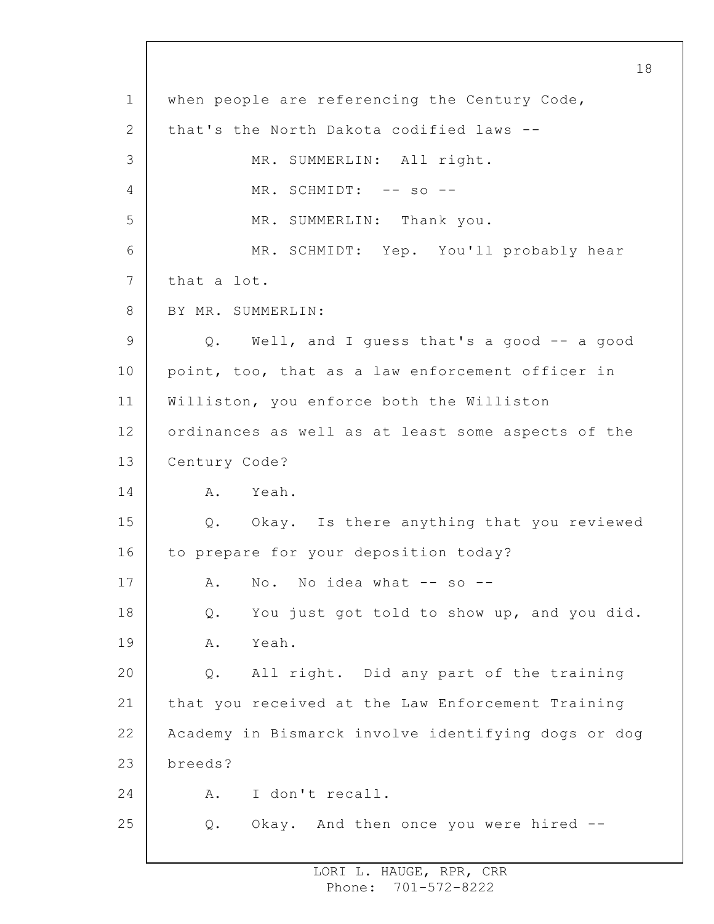1 2 3 4 5 6 7 8 9 10 11 12 13 14 15 16 17 18 19 20 21 22 23 24 25 18 when people are referencing the Century Code, that's the North Dakota codified laws -- MR. SUMMERLIN: All right. MR. SCHMIDT: -- so --MR. SUMMERLIN: Thank you. MR. SCHMIDT: Yep. You'll probably hear that a lot. BY MR. SUMMERLIN: Q. Well, and I guess that's a good -- a good point, too, that as a law enforcement officer in Williston, you enforce both the Williston ordinances as well as at least some aspects of the Century Code? A. Yeah. Q. Okay. Is there anything that you reviewed to prepare for your deposition today? A. No. No idea what -- so --Q. You just got told to show up, and you did. A. Yeah. Q. All right. Did any part of the training that you received at the Law Enforcement Training Academy in Bismarck involve identifying dogs or dog breeds? A. I don't recall. Q. Okay. And then once you were hired --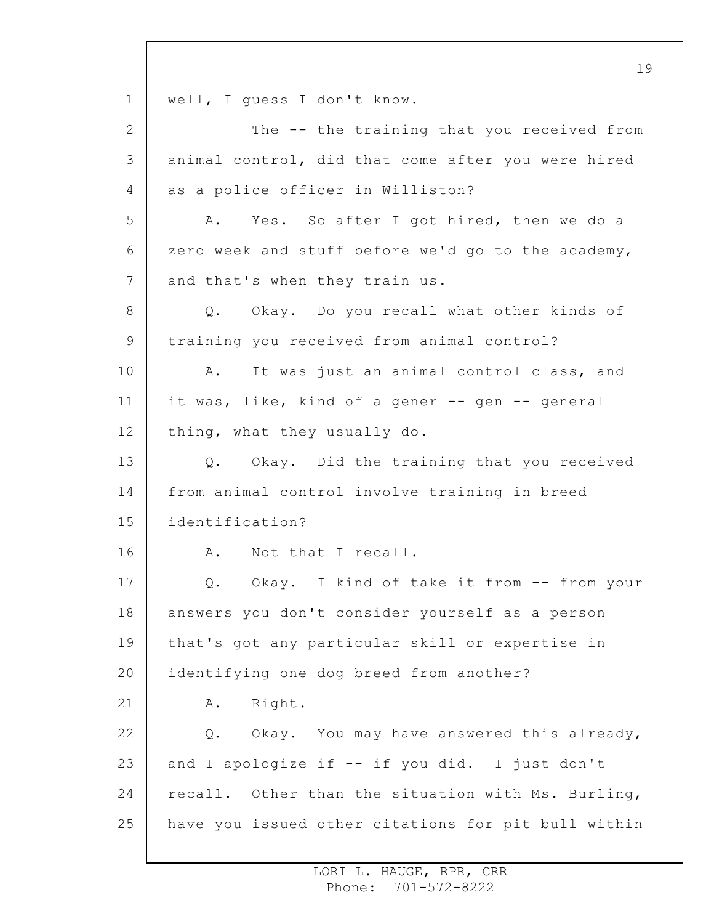1 2 3 4 5 6 7 8 9 10 11 12 13 14 15 16 17 18 19 20 21 22 23 24 25 19 well, I guess I don't know. The -- the training that you received from animal control, did that come after you were hired as a police officer in Williston? A. Yes. So after I got hired, then we do a zero week and stuff before we'd go to the academy, and that's when they train us. Q. Okay. Do you recall what other kinds of training you received from animal control? A. It was just an animal control class, and it was, like, kind of a gener -- gen -- general thing, what they usually do. Q. Okay. Did the training that you received from animal control involve training in breed identification? A. Not that I recall. Q. Okay. I kind of take it from -- from your answers you don't consider yourself as a person that's got any particular skill or expertise in identifying one dog breed from another? A. Right. Q. Okay. You may have answered this already, and I apologize if -- if you did. I just don't recall. Other than the situation with Ms. Burling, have you issued other citations for pit bull within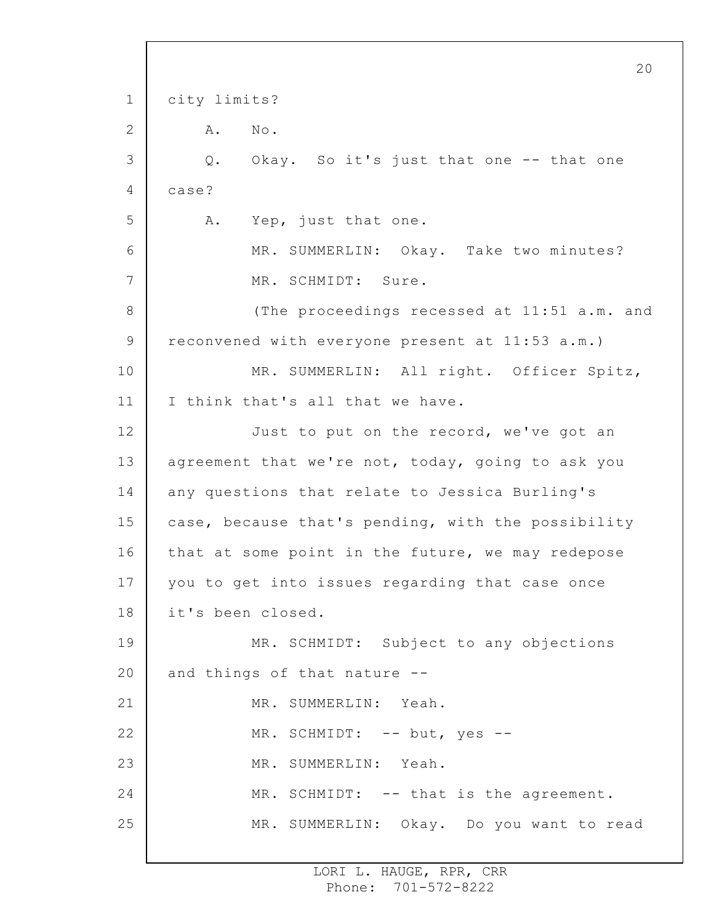```
1
 2
 3
 4
5
 6
7
8
9
10
11
12
13
14
15
16
17
18
19
20
21
22
23
24
25
                                                        20
     city limits?
         A. No.
         Q. Okay. So it's just that one -- that one
     case?
         A. Yep, just that one.
              MR. SUMMERLIN: Okay. Take two minutes?
              MR. SCHMIDT: Sure.
              (The proceedings recessed at 11:51 a.m. and
     reconvened with everyone present at 11:53 a.m.)
              MR. SUMMERLIN: All right. Officer Spitz,
     I think that's all that we have.
              Just to put on the record, we've got an
     agreement that we're not, today, going to ask you
     any questions that relate to Jessica Burling's
     case, because that's pending, with the possibility
     that at some point in the future, we may redepose
     you to get into issues regarding that case once
     it's been closed.
              MR. SCHMIDT: Subject to any objections
     and things of that nature --
              MR. SUMMERLIN: Yeah.
              MR. SCHMIDT: -- but, yes --
              MR. SUMMERLIN: Yeah.
              MR. SCHMIDT: -- that is the agreement.
              MR. SUMMERLIN: Okay. Do you want to read
```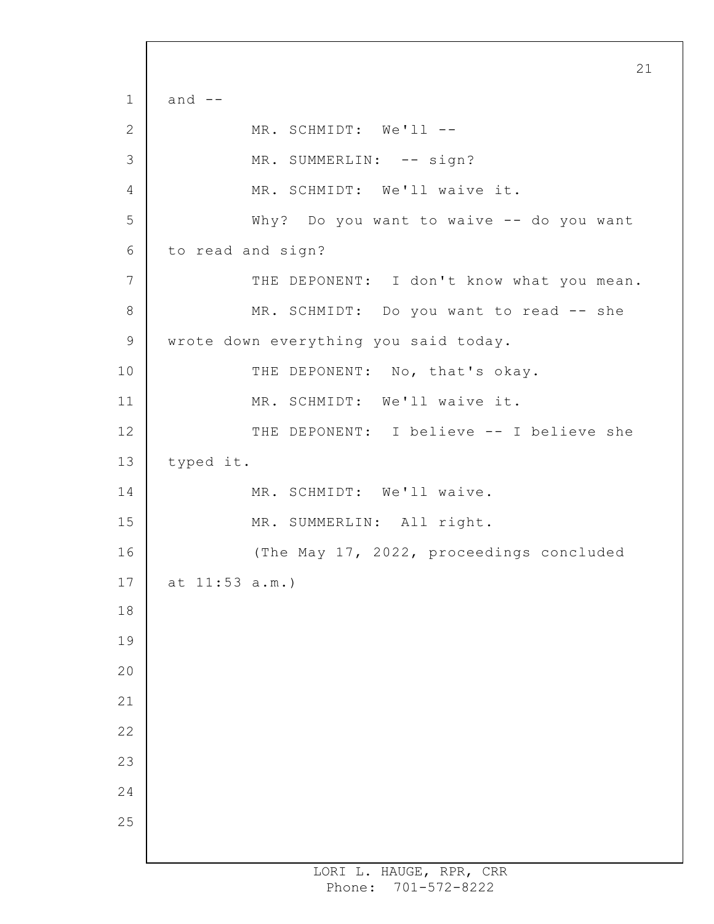1 2 3 4 5 6 7 8 9 10 11 12 13 14 15 16 17 18 19 20 21 22 23 24 25 21 and  $--$ MR. SCHMIDT: We'll --MR. SUMMERLIN: -- sign? MR. SCHMIDT: We'll waive it. Why? Do you want to waive -- do you want to read and sign? THE DEPONENT: I don't know what you mean. MR. SCHMIDT: Do you want to read -- she wrote down everything you said today. THE DEPONENT: No, that's okay. MR. SCHMIDT: We'll waive it. THE DEPONENT: I believe -- I believe she typed it. MR. SCHMIDT: We'll waive. MR. SUMMERLIN: All right. (The May 17, 2022, proceedings concluded at 11:53 a.m.)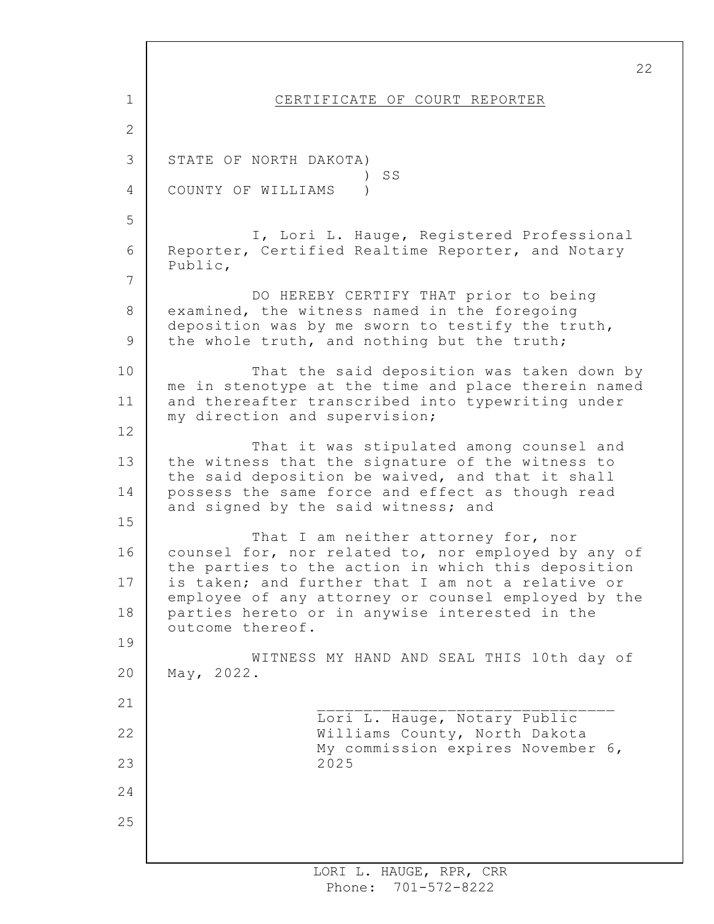1 2 3 4 5 6 7 8 9 10 11 12 13 14 15 16 17 18 19 20 21 22 23 24 25 CERTIFICATE OF COURT REPORTER STATE OF NORTH DAKOTA) ) SS COUNTY OF WILLIAMS ) I, Lori L. Hauge, Registered Professional Reporter, Certified Realtime Reporter, and Notary Public, DO HEREBY CERTIFY THAT prior to being examined, the witness named in the foregoing deposition was by me sworn to testify the truth, the whole truth, and nothing but the truth; That the said deposition was taken down by me in stenotype at the time and place therein named and thereafter transcribed into typewriting under my direction and supervision; That it was stipulated among counsel and the witness that the signature of the witness to the said deposition be waived, and that it shall possess the same force and effect as though read and signed by the said witness; and That I am neither attorney for, nor counsel for, nor related to, nor employed by any of the parties to the action in which this deposition is taken; and further that I am not a relative or employee of any attorney or counsel employed by the parties hereto or in anywise interested in the outcome thereof. WITNESS MY HAND AND SEAL THIS 10th day of May, 2022.  $\mathcal{L}_\text{max}$ Lori L. Hauge, Notary Public Williams County, North Dakota My commission expires November 6, 2025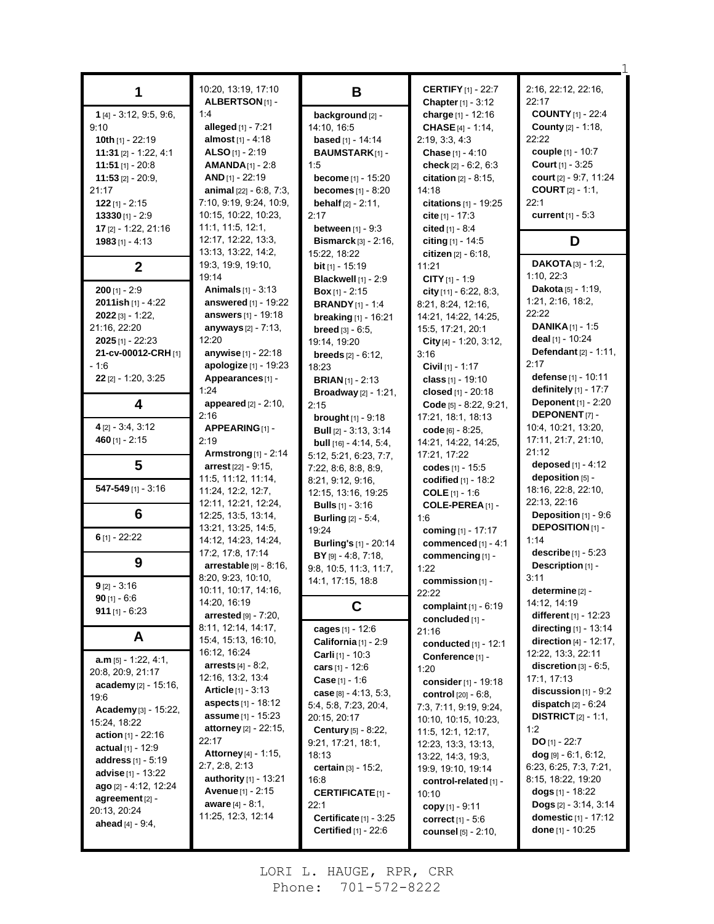|                                     | 10:20, 13:19, 17:10               |                                 | <b>CERTIFY</b> [1] - 22:7      | 2:16, 22:12, 22:16,                |
|-------------------------------------|-----------------------------------|---------------------------------|--------------------------------|------------------------------------|
| 1                                   | ALBERTSON <sup>[1]</sup> -        | B                               | Chapter [1] - 3:12             | 22:17                              |
| 1 [4] - 3:12, 9:5, 9:6,             | 1:4                               | background [2] -                | charge [1] - 12:16             | <b>COUNTY [1] - 22:4</b>           |
| 9:10                                | alleged [1] - 7:21                | 14:10, 16:5                     | <b>CHASE</b> [4] - 1:14,       | <b>County</b> [2] - 1:18,          |
| 10th $[1]$ - 22:19                  | almost $[1] - 4:18$               | <b>based</b> [1] - 14:14        | 2:19, 3:3, 4:3                 | 22:22                              |
| 11:31 $[2] - 1.22, 4.1$             | ALSO $[1] - 2:19$                 | <b>BAUMSTARK[1]-</b>            | Chase [1] - 4:10               | couple [1] - 10:7                  |
| $11:51$ [1] - 20:8                  | $AMANDA_{[1]} - 2.8$              | 1:5                             | check $[2] - 6.2, 6.3$         | <b>Court</b> $[1] - 3:25$          |
| <b>11:53</b> [2] - 20:9,            | $AND$ [1] - 22:19                 | <b>become</b> [1] - 15:20       | <b>citation</b> $[2] - 8:15$ , | court [2] - 9:7, 11:24             |
| 21:17                               | <b>animal</b> $[22] - 6.8, 7.3$ , | <b>becomes</b> $[1] - 8:20$     | 14:18                          | <b>COURT</b> $[2] - 1:1$           |
| $122$ [1] - 2:15                    | 7:10, 9:19, 9:24, 10:9,           | <b>behalf</b> $[2] - 2:11$ ,    | citations [1] - 19:25          | 22:1                               |
| $13330$ [1] - 2:9                   | 10:15, 10:22, 10:23,              | 2:17                            | cite $[1] - 17:3$              | <b>current</b> $[1] - 5:3$         |
| 17 [2] - 1:22, 21:16                | 11:1, 11:5, 12:1,                 | <b>between</b> $[1] - 9:3$      | cited $[1] - 8.4$              |                                    |
| $1983$ [1] - 4:13                   | 12:17, 12:22, 13:3,               | <b>Bismarck</b> $[3] - 2:16$ ,  | citing $[1] - 14.5$            | D                                  |
|                                     | 13:13, 13:22, 14:2,               | 15:22, 18:22                    | citizen $[2] - 6:18$ ,         |                                    |
| $\overline{2}$                      | 19:3, 19:9, 19:10,                | <b>bit</b> $[1]$ - 15:19        | 11:21                          | <b>DAKOTA</b> $[3] - 1.2$          |
|                                     | 19:14                             | <b>Blackwell</b> [1] - 2:9      | CITY $[1]$ - 1:9               | 1:10, 22:3                         |
| $200$ [1] - 2:9                     | <b>Animals</b> $[1] - 3:13$       | <b>Box</b> $[1]$ - 2:15         | city $[11] - 6.22, 8.3$        | Dakota [5] - 1:19,                 |
| 2011ish [1] - 4:22                  | answered [1] - 19:22              | <b>BRANDY</b> $[1] - 1.4$       | 8:21, 8:24, 12:16,             | 1:21, 2:16, 18:2,                  |
| $2022$ [3] - 1:22,                  | answers $[1] - 19:18$             | breaking [1] - 16:21            | 14:21, 14:22, 14:25,           | 22:22                              |
| 21:16, 22:20                        | anyways [2] - 7:13,               | breed [3] - 6:5,                | 15:5, 17:21, 20:1              | <b>DANIKA</b> <sup>[1]</sup> - 1:5 |
| <b>2025</b> [1] - 22:23             | 12:20                             | 19:14, 19:20                    | City [4] - 1:20, 3:12,         | deal [1] - 10:24                   |
| 21-cv-00012-CRH [1]                 | <b>anywise</b> [1] - 22:18        | <b>breeds</b> $[2] - 6:12$      | 3:16                           | <b>Defendant</b> $[2] - 1.11$ ,    |
| $-1.6$                              | apologize [1] - 19:23             | 18:23                           | Civil $[1] - 1:17$             | 2:17                               |
| $22$ [2] - 1:20, 3:25               | Appearances[1] -                  | <b>BRIAN</b> $[1]$ - 2:13       | class [1] - 19:10              | defense [1] - 10:11                |
|                                     | 1:24                              | <b>Broadway</b> [2] - 1:21,     | closed [1] - 20:18             | <b>definitely</b> $[1]$ - 17:7     |
| 4                                   | <b>appeared</b> $[2] - 2:10$ ,    | 2:15                            | Code $[5] - 8.22, 9.21$ ,      | <b>Deponent</b> $[1] - 2:20$       |
|                                     | 2:16                              | <b>brought</b> $[1]$ - $9:18$   | 17:21, 18:1, 18:13             | <b>DEPONENT</b> [7]-               |
| $4$ [2] - 3:4, 3:12                 | APPEARING [1] -                   | <b>Bull</b> $[2] - 3.13, 3.14$  | code [6] - 8:25,               | 10:4, 10:21, 13:20,                |
| 460 $[1] - 2:15$                    | 2:19                              | <b>bull</b> $[16] - 4:14, 5:4,$ | 14:21, 14:22, 14:25,           | 17:11, 21:7, 21:10,                |
|                                     | <b>Armstrong</b> [1] - 2:14       | 5:12, 5:21, 6:23, 7:7,          | 17:21, 17:22                   | 21:12                              |
| 5                                   | <b>arrest</b> $[22] - 9:15$       | 7:22, 8:6, 8:8, 8:9,            | codes [1] - 15:5               | deposed [1] - 4:12                 |
|                                     | 11:5, 11:12, 11:14,               | 8:21, 9:12, 9:16,               | codified $[1]$ - 18:2          | deposition [5] -                   |
| $547 - 549$ [1] - 3:16              | 11:24, 12:2, 12:7,                | 12:15, 13:16, 19:25             | <b>COLE</b> $[1] - 1.6$        | 18:16, 22:8, 22:10,                |
|                                     | 12:11, 12:21, 12:24,              | <b>Bulls</b> [1] - 3:16         | COLE-PEREA <sub>[1]</sub> -    | 22:13, 22:16                       |
| 6                                   | 12:25, 13:5, 13:14,               | <b>Burling</b> [2] - 5:4,       | 1.6                            | Deposition [1] - 9:6               |
|                                     | 13:21, 13:25, 14:5,               | 19:24                           | coming [1] - 17:17             | <b>DEPOSITION</b> [1] -            |
| $6$ [1] - 22:22                     | 14:12, 14:23, 14:24,              | <b>Burling's</b> [1] - 20:14    | commenced [1] - 4:1            | 1:14                               |
|                                     | 17:2, 17:8, 17:14                 | BY [9] - 4:8, 7:18,             | commencing [1] -               | describe $[1] - 5:23$              |
| 9                                   | $\arrestable$ [9] - 8:16,         | 9:8, 10:5, 11:3, 11:7,          | 1:22                           | Description [1] -                  |
|                                     | 8:20, 9:23, 10:10,                | 14:1, 17:15, 18:8               | commission [1] -               | 3:11                               |
| $9$ [2] - 3:16                      | 10:11, 10:17, 14:16,              |                                 | 22:22                          | determine [2] -                    |
| $90$ [1] - 6:6                      | 14:20, 16:19                      | C                               | complaint $[1] - 6.19$         | 14:12, 14:19                       |
| 911 $[1] - 6:23$                    | arrested $[9] - 7:20$ ,           |                                 | concluded [1] -                | different $[1] - 12:23$            |
|                                     | 8:11, 12:14, 14:17,               | cages [1] - 12:6                | 21:16                          | directing [1] - 13:14              |
| A                                   | 15:4, 15:13, 16:10,               | California [1] - 2:9            | conducted $[1] - 12:1$         | direction $[4] - 12:17$ ,          |
|                                     | 16:12, 16:24                      | <b>Carli</b> $[1]$ - 10:3       | Conference [1] -               | 12:22, 13:3, 22:11                 |
| $a.m$ [5] - 1:22, 4:1,              | <b>arrests</b> $[4] - 8:2$ ,      | cars $[1] - 12.6$               | 1:20                           | discretion $[3] - 6.5$ ,           |
| 20:8, 20:9, 21:17                   | 12:16, 13:2, 13:4                 | Case [1] - 1:6                  | consider $[1]$ - 19:18         | 17:1, 17:13                        |
| academy [2] - 15:16,                | <b>Article</b> $[1] - 3:13$       | case $[8] - 4:13, 5:3,$         | control [20] - 6:8,            | discussion $[1]$ - $9:2$           |
| 19:6                                | <b>aspects</b> [1] - 18:12        | 5:4, 5:8, 7:23, 20:4,           | 7:3, 7:11, 9:19, 9:24,         | dispatch $[2] - 6:24$              |
| Academy [3] - 15:22,                | assume [1] - 15:23                | 20:15, 20:17                    | 10:10, 10:15, 10:23,           | <b>DISTRICT</b> $[2] - 1:1$ ,      |
| 15:24, 18:22                        | <b>attorney</b> $[2] - 22:15$ ,   | <b>Century</b> [5] - 8:22,      | 11:5, 12:1, 12:17,             | 1:2                                |
| <b>action</b> $[1] - 22:16$         | 22:17                             | 9.21, 17.21, 18.1,              | 12:23, 13:3, 13:13,            | <b>DO</b> $[1] - 22:7$             |
| <b>actual</b> $[1] - 12.9$          | Attorney [4] - 1:15,              | 18:13                           | 13:22, 14:3, 19:3,             | $dog$ [9] - 6:1, 6:12,             |
| <b>address</b> [1] - 5:19           | 2:7, 2:8, 2:13                    | certain [3] - 15:2,             | 19:9, 19:10, 19:14             | 6:23, 6:25, 7:3, 7:21,             |
| <b>advise</b> $[1]$ - 13:22         | authority [1] - 13:21             | 16:8                            | control-related [1] -          | 8:15, 18:22, 19:20                 |
| ago [2] - 4:12, 12:24               | <b>Avenue</b> $[1] - 2.15$        | <b>CERTIFICATE</b> $[1]$ -      | 10:10                          | dogs [1] - 18:22                   |
| agreement $[2]$ -                   | <b>aware</b> $[4] - 8.1$ ,        | 22:1                            | copy $[1] - 9.11$              | Dogs [2] - 3:14, 3:14              |
| 20:13, 20:24<br>ahead $[4] - 9.4$ , | 11:25, 12:3, 12:14                | Certificate $[1] - 3:25$        | correct <sup>[1]</sup> - 5:6   | domestic [1] - 17:12               |
|                                     |                                   | <b>Certified</b> [1] - 22:6     | <b>counsel</b> $[5] - 2:10$ ,  | done [1] - 10:25                   |
|                                     |                                   |                                 |                                |                                    |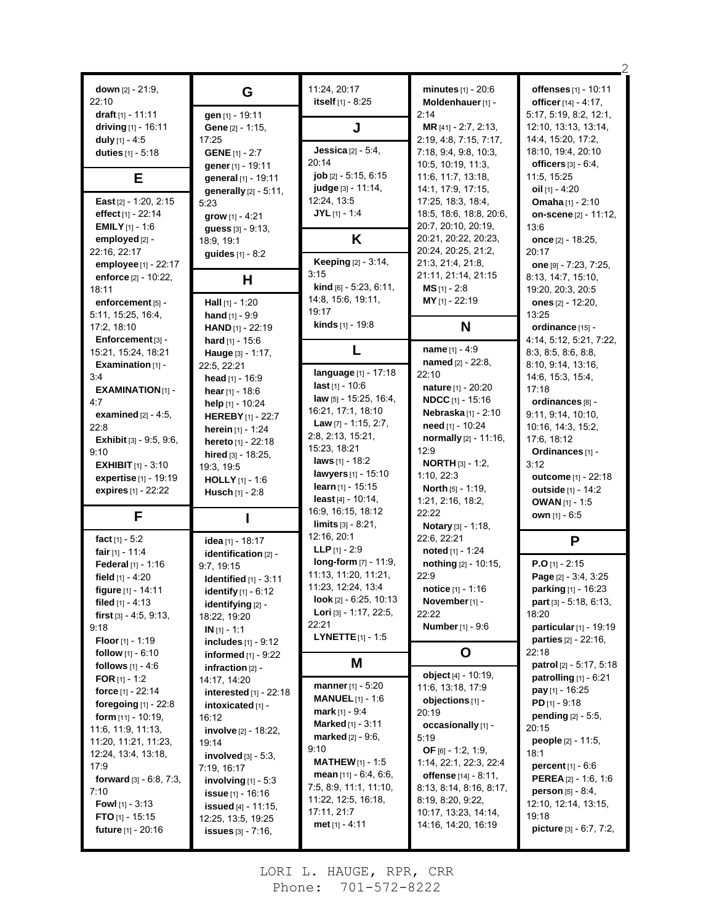| down [2] - 21:9,<br>22:10                               | G                                               | 11:24, 20:17<br>itself [1] - 8:25                   | $minutes_{[1]} - 20.6$<br>Moldenhauer [1] -     | offenses [1] - 10:11<br>officer [14] - 4:17,           |
|---------------------------------------------------------|-------------------------------------------------|-----------------------------------------------------|-------------------------------------------------|--------------------------------------------------------|
| draft [1] - 11:11                                       | gen [1] - 19:11                                 |                                                     | 2:14                                            | 5:17, 5:19, 8:2, 12:1,                                 |
| driving $[1]$ - 16:11                                   | Gene [2] - 1:15,                                | J                                                   | MR [41] - 2:7, 2:13,                            | 12:10, 13:13, 13:14,                                   |
| duly $[1] - 4.5$<br>duties [1] - 5:18                   | 17:25<br><b>GENE</b> [1] - 2:7                  | <b>Jessica</b> $[2] - 5.4$ ,                        | 2:19, 4:8, 7:15, 7:17,<br>7:18, 9:4, 9:8, 10:3, | 14:4, 15:20, 17:2,<br>18:10, 19:4, 20:10               |
|                                                         | gener [1] - 19:11                               | 20:14                                               | 10:5, 10:19, 11:3,                              | officers $[3] - 6.4$ ,                                 |
| E                                                       | general [1] - 19:11                             | job [2] - 5:15, 6:15                                | 11:6, 11:7, 13:18,                              | 11:5, 15:25                                            |
|                                                         | generally [2] - 5:11,                           | judge [3] - 11:14,                                  | 14:1, 17:9, 17:15,                              | oil $[1] - 4:20$                                       |
| East [2] - 1:20, 2:15                                   | 5:23                                            | 12:24, 13:5                                         | 17:25, 18:3, 18:4,                              | <b>Omaha</b> [1] - 2:10                                |
| effect [1] - 22:14                                      | grow [1] - 4:21                                 | $JYL$ [1] - 1:4                                     | 18:5, 18:6, 18:8, 20:6,                         | on-scene [2] - 11:12,                                  |
| <b>EMILY</b> $[1] - 1.6$<br>employed [2] -              | guess [3] - 9:13,                               | Κ                                                   | 20:7, 20:10, 20:19,<br>20:21, 20:22, 20:23,     | 13:6<br>once [2] - 18:25.                              |
| 22:16, 22:17                                            | 18:9, 19:1<br>guides [1] - 8:2                  |                                                     | 20:24, 20:25, 21:2,                             | 20:17                                                  |
| employee [1] - 22:17                                    |                                                 | <b>Keeping</b> [2] - 3:14,                          | 21:3, 21:4, 21:8,                               | one $[9] - 7:23, 7:25,$                                |
| enforce $[2] - 10:22$ ,                                 | н                                               | 3:15                                                | 21:11, 21:14, 21:15                             | 8:13, 14:7, 15:10,                                     |
| 18:11                                                   |                                                 | <b>kind</b> $[6] - 5:23, 6:11,$                     | $MS [1] - 2:8$                                  | 19:20, 20:3, 20:5                                      |
| enforcement [5] -                                       | <b>Hall</b> $[1]$ - 1:20                        | 14:8, 15:6, 19:11,<br>19:17                         | MY [1] - 22:19                                  | ones [2] - 12:20,                                      |
| 5.11, 15:25, 16.4,                                      | hand $[1] - 9.9$                                | kinds [1] - 19:8                                    |                                                 | 13:25                                                  |
| 17:2, 18:10<br>Enforcement [3] -                        | <b>HAND</b> $[1]$ - 22:19                       |                                                     | N                                               | ordinance [15] -                                       |
| 15:21, 15:24, 18:21                                     | hard $[1] - 15.6$<br>Hauge [3] - 1:17,          | L                                                   | name [1] - 4:9                                  | 4:14, 5:12, 5:21, 7:22,<br>8:3, 8:5, 8:6, 8:8,         |
| Examination [1] -                                       | 22:5, 22:21                                     |                                                     | named [2] - 22:8,                               | 8:10, 9:14, 13:16,                                     |
| 3:4                                                     | head [1] - 16:9                                 | language [1] - 17:18                                | 22:10                                           | 14.6, 15.3, 15.4,                                      |
| <b>EXAMINATION[1] -</b>                                 | hear $[1]$ - 18:6                               | <b>last</b> $[1] - 10.6$                            | nature [1] - 20:20                              | 17:18                                                  |
| 4:7                                                     | help [1] - 10:24                                | law [5] - 15:25, 16:4,<br>16:21, 17:1, 18:10        | <b>NDCC</b> [1] - 15:16                         | ordinances [8] -                                       |
| <b>examined</b> $[2] - 4:5$ ,                           | <b>HEREBY</b> [1] - 22:7                        | Law $[7] - 1:15, 2:7,$                              | <b>Nebraska</b> [1] - 2:10<br>need [1] - 10:24  | 9:11, 9:14, 10:10,                                     |
| 22:8<br><b>Exhibit</b> [3] - 9:5, 9:6,                  | herein $[1] - 1:24$                             | 2:8, 2:13, 15:21,                                   | normally [2] - 11:16,                           | 10:16, 14:3, 15:2,<br>17:6, 18:12                      |
| 9:10                                                    | hereto [1] - 22:18<br>hired $[3] - 18:25$ ,     | 15:23, 18:21                                        | 12:9                                            | Ordinances [1] -                                       |
| <b>EXHIBIT</b> $[1] - 3:10$                             | 19:3, 19:5                                      | laws [1] - 18:2                                     | <b>NORTH</b> $[3] - 1:2$                        | 3:12                                                   |
| expertise [1] - 19:19                                   | <b>HOLLY</b> [1] - 1:6                          | <b>lawyers</b> [1] - 15:10                          | 1:10, 22:3                                      | outcome [1] - 22:18                                    |
| expires [1] - 22:22                                     | <b>Husch</b> $[1] - 2:8$                        | learn $[1]$ - 15:15                                 | North [5] - 1:19,                               |                                                        |
|                                                         |                                                 |                                                     |                                                 | outside [1] - 14:2                                     |
|                                                         |                                                 | least $[4] - 10:14$ ,                               | 1:21, 2:16, 18:2,                               | <b>OWAN</b> [1] - 1:5                                  |
| F                                                       |                                                 | 16:9, 16:15, 18:12                                  | 22:22                                           | own [1] - 6:5                                          |
|                                                         |                                                 | <b>limits</b> $[3] - 8.21$ ,<br>12:16, 20:1         | Notary [3] - 1:18,                              |                                                        |
| fact $[1] - 5:2$<br>fair [1] - 11:4                     | idea [1] - 18:17                                | <b>LLP</b> $[1] - 2:9$                              | 22:6, 22:21<br>noted [1] - 1:24                 | P                                                      |
| Federal [1] - 1:16                                      | identification [2] -                            | long-form [7] - 11:9,                               | nothing [2] - 10:15,                            | $P.O$ [1] - 2:15                                       |
| field $[1] - 4:20$                                      | 9:7, 19:15<br><b>Identified</b> [1] - 3:11      | 11:13, 11:20, 11:21,                                | 22:9                                            | Page [2] - 3:4, 3:25                                   |
| figure [1] - 14:11                                      | <b>identify</b> [1] - 6:12                      | 11:23, 12:24, 13:4                                  | notice [1] - 1:16                               | parking [1] - 16:23                                    |
| filed $[1] - 4:13$                                      | identifying [2] -                               | look [2] - 6:25, 10:13                              | <b>November</b> [1] -                           | part [3] - 5:18, 6:13,                                 |
| first [3] - 4:5, 9:13,                                  | 18:22, 19:20                                    | Lori [3] - 1:17, 22:5,<br>22:21                     | 22:22                                           | 18:20                                                  |
| 9:18                                                    | $IN [1] - 1:1$                                  | <b>LYNETTE</b> $[1] - 1.5$                          | <b>Number</b> [1] - 9:6                         | particular [1] - 19:19<br><b>parties</b> $[2] - 22:16$ |
| <b>Floor</b> $[1]$ - 1:19<br><b>follow</b> $[1] - 6:10$ | includes [1] - 9:12                             |                                                     |                                                 | 22:18                                                  |
| follows $[1] - 4.6$                                     | informed [1] - 9:22<br>infraction $[2]$ -       | M                                                   | O                                               | patrol [2] - 5:17, 5:18                                |
| FOR $[1] - 1:2$                                         | 14:17, 14:20                                    |                                                     | object [4] - 10:19,                             | patrolling $[1] - 6.21$                                |
| force [1] - 22:14                                       | interested [1] - 22:18                          | <b>manner</b> $[1] - 5:20$                          | 11:6, 13:18, 17:9                               | pay [1] - 16:25                                        |
| foregoing [1] - 22:8                                    | intoxicated [1] -                               | <b>MANUEL</b> $[1] - 1.6$                           | objections [1] -                                | $PD$ [1] - 9:18                                        |
| form $[11] - 10:19$ ,                                   | 16:12                                           | <b>mark</b> [1] - 9:4<br><b>Marked</b> $[1] - 3:11$ | 20:19<br>occasionally [1] -                     | pending [2] - 5:5,                                     |
| 11:6, 11:9, 11:13,                                      | <b>involve</b> [2] - 18:22,                     | <b>marked</b> $[2] - 9.6$                           | 5:19                                            | 20:15                                                  |
| 11:20, 11:21, 11:23,<br>12:24, 13:4, 13:18,             | 19:14                                           | 9:10                                                | OF $[6] - 1:2, 1:9,$                            | <b>people</b> $[2] - 11:5$ ,<br>18:1                   |
| 17:9                                                    | involved $[3] - 5.3$ ,<br>7:19, 16:17           | <b>MATHEW</b> $[1]$ - 1:5                           | 1:14, 22:1, 22:3, 22:4                          | <b>percent</b> $[1] - 6:6$                             |
| <b>forward</b> $[3] - 6.8$ , $7.3$ ,                    | involving $[1]$ - 5:3                           | mean $[11] - 6.4, 6.6,$                             | offense [14] - 8:11,                            | <b>PEREA</b> $[2] - 1.6, 1.6$                          |
| 7:10                                                    | <b>issue</b> $[1]$ - 16:16                      | 7:5, 8:9, 11:1, 11:10,                              | 8:13, 8:14, 8:16, 8:17,                         | <b>person</b> $[5] - 8.4$ ,                            |
| <b>Fowl</b> $[1] - 3:13$                                | <b>issued</b> [4] - 11:15,                      | 11:22, 12:5, 16:18,<br>17:11, 21:7                  | 8:19, 8:20, 9:22,                               | 12:10, 12:14, 13:15,                                   |
| <b>FTO</b> $[1]$ - 15:15<br>future [1] - 20:16          | 12:25, 13:5, 19:25<br><b>issues</b> [3] - 7:16, | met $[1] - 4.11$                                    | 10:17, 13:23, 14:14,<br>14:16, 14:20, 16:19     | 19:18<br><b>picture</b> $[3] - 6.7, 7.2,$              |

2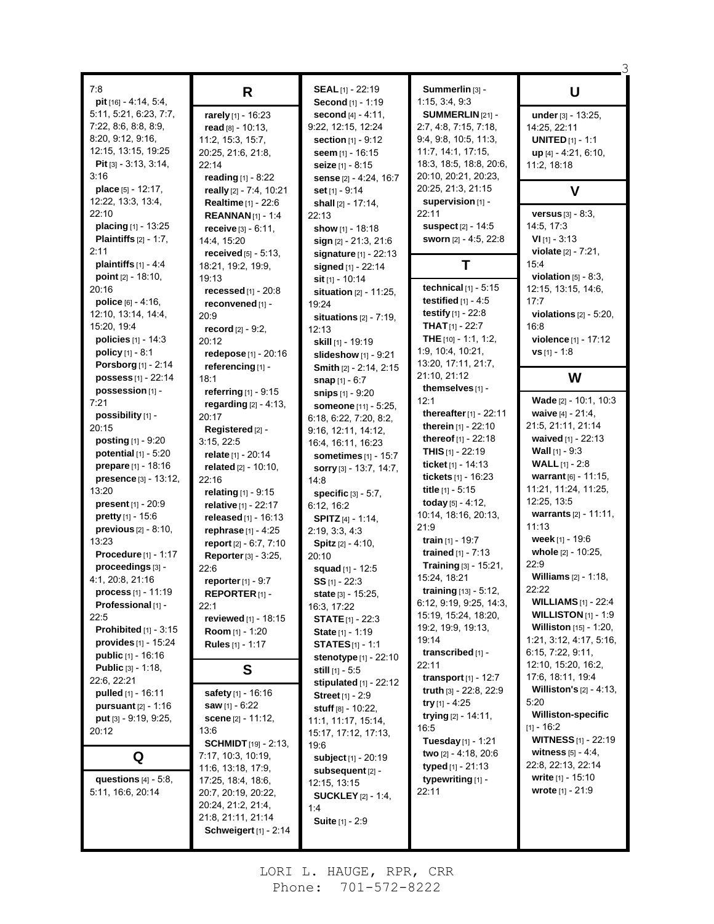| 7:8                               |                              | SEAL [1] - 22:19               | Summerlin [3] -                 |                                   |
|-----------------------------------|------------------------------|--------------------------------|---------------------------------|-----------------------------------|
| pit [16] - 4:14, 5:4,             | R                            | Second [1] - 1:19              | 1:15, 3:4, 9:3                  | U                                 |
| 5:11, 5:21, 6:23, 7:7,            |                              |                                | SUMMERLIN [21] -                |                                   |
|                                   | rarely [1] - 16:23           | second [4] - 4:11,             |                                 | under [3] - 13:25,                |
| 7:22, 8:6, 8:8, 8:9,              | read $[8] - 10:13$ ,         | 9:22, 12:15, 12:24             | 2:7, 4:8, 7:15, 7:18,           | 14:25, 22:11                      |
| 8:20, 9:12, 9:16,                 | 11:2, 15:3, 15:7,            | <b>section</b> $[1] - 9.12$    | 9.4, 9.8, 10.5, 11.3,           | <b>UNITED</b> $[1] - 1:1$         |
| 12:15, 13:15, 19:25               | 20:25, 21:6, 21:8,           | seem $[1]$ - 16:15             | 11:7, 14:1, 17:15,              | up [4] - 4:21, 6:10,              |
| <b>Pit</b> [3] $-3.13$ , $3.14$ , | 22:14                        | seize [1] - 8:15               | 18:3, 18:5, 18:8, 20:6,         | 11:2, 18:18                       |
| 3:16                              | reading $[1] - 8:22$         | sense [2] - 4:24, 16:7         | 20:10, 20:21, 20:23,            |                                   |
| place [5] - 12:17,                | really [2] - 7:4, 10:21      | set [1] - 9:14                 | 20:25, 21:3, 21:15              | V                                 |
| 12:22, 13:3, 13:4,                | <b>Realtime</b> [1] - 22:6   | shall [2] - 17:14,             | supervision [1] -               |                                   |
| 22:10                             | <b>REANNAN</b> $[1] - 1:4$   | 22:13                          | 22:11                           | <b>versus</b> $[3] - 8:3$ ,       |
| placing [1] - 13:25               | receive $[3] - 6.11$ ,       | show [1] - 18:18               | <b>suspect</b> [2] - 14:5       | 14:5, 17:3                        |
| <b>Plaintiffs</b> $[2] - 1:7$ ,   | 14:4, 15:20                  | $sign [2] - 21:3, 21:6$        | sworn [2] - 4:5, 22:8           | $VI$ [1] - 3:13                   |
| 2:11                              | received $[5]$ - 5:13,       | <b>signature</b> $[1] - 22:13$ |                                 | <b>violate</b> $[2] - 7:21$ ,     |
| plaintiffs $[1] - 4.4$            | 18:21, 19:2, 19:9,           | signed [1] - 22:14             | Т                               | 15:4                              |
| point [2] - 18:10,                | 19:13                        | sit [1] - 10:14                |                                 | violation $[5]$ - 8:3,            |
| 20:16                             | recessed $[1]$ - 20:8        | situation [2] - 11:25,         | technical $[1]$ - 5:15          | 12:15, 13:15, 14:6,               |
| police $[6] - 4:16$ ,             | reconvened [1] -             | 19:24                          | testified $[1]$ - 4:5           | 17:7                              |
| 12:10, 13:14, 14:4,               | 20:9                         | situations $[2] - 7:19$ ,      | testify $[1] - 22.8$            | violations $[2] - 5.20$ ,         |
| 15:20, 19:4                       | record [2] - 9:2,            | 12:13                          | <b>THAT</b> $[1]$ - 22:7        | 16:8                              |
| <b>policies</b> $[1] - 14.3$      | 20:12                        | skill [1] - 19:19              | THE [10] - 1:1, 1:2,            | violence [1] - 17:12              |
| <b>policy</b> $[1] - 8:1$         | redepose [1] - 20:16         | slideshow [1] - 9:21           | 1:9, 10:4, 10:21,               | $vs$ [1] - 1:8                    |
| Porsborg [1] - 2:14               | referencing [1] -            | Smith [2] - 2:14, 2:15         | 13:20, 17:11, 21:7,             |                                   |
| possess [1] - 22:14               | 18:1                         | <b>snap</b> $[1] - 6:7$        | 21:10, 21:12                    | W                                 |
| possession [1] -                  | referring $[1]$ - 9:15       | <b>snips</b> [1] - 9:20        | themselves [1] -                |                                   |
| 7:21                              | regarding $[2] - 4.13$ ,     |                                | 12:1                            | Wade [2] - 10:1, 10:3             |
| possibility [1] -                 | 20:17                        | someone [11] - 5:25,           | thereafter $[1]$ - 22:11        | waive [4] - 21:4,                 |
| 20:15                             | Registered [2] -             | 6:18, 6:22, 7:20, 8:2,         | therein [1] - 22:10             | 21:5, 21:11, 21:14                |
| <b>posting</b> $[1] - 9:20$       |                              | 9:16, 12:11, 14:12,            | thereof [1] - 22:18             | waived [1] - 22:13                |
| potential $[1]$ - 5:20            | 3:15, 22:5                   | 16:4, 16:11, 16:23             | <b>THIS</b> $[1]$ - 22:19       | <b>Wall</b> $[1]$ - 9:3           |
| prepare [1] - 18:16               | relate [1] - 20:14           | sometimes $[1]$ - 15:7         | ticket $[1] - 14:13$            | <b>WALL</b> $[1] - 2:8$           |
|                                   | related [2] - 10:10,         | sorry [3] - 13:7, 14:7,        | tickets [1] - 16:23             | warrant [6] - 11:15,              |
| presence [3] - 13:12,             | 22:16                        | 14:8                           | title $[1] - 5:15$              | 11:21, 11:24, 11:25,              |
| 13:20                             | relating [1] - 9:15          | specific $[3] - 5:7$ ,         |                                 | 12:25, 13:5                       |
| <b>present</b> $[1] - 20.9$       | relative [1] - 22:17         | 6:12, 16:2                     | today [5] - 4:12,               | warrants [2] - 11:11,             |
| <b>pretty</b> $[1] - 15.6$        | released [1] - 16:13         | SPITZ [4] - 1:14,              | 10:14, 18:16, 20:13,<br>21:9    | 11:13                             |
| previous [2] - 8:10,              | rephrase $[1] - 4:25$        | 2:19, 3:3, 4:3                 |                                 |                                   |
| 13:23                             | report $[2] - 6.7, 7.10$     | Spitz [2] - 4:10,              | train $[1]$ - 19:7              | week [1] - 19:6                   |
| Procedure [1] - 1:17              | Reporter [3] - 3:25,         | 20:10                          | <b>trained</b> $[1] - 7:13$     | whole [2] - 10:25,                |
| proceedings [3] -                 | 22:6                         | squad [1] - 12:5               | Training [3] - 15:21,           | 22:9                              |
| 4:1, 20:8, 21:16                  | reporter [1] - 9:7           | $SS$ [1] - 22:3                | 15:24, 18:21                    | <b>Williams</b> $[2] - 1:18$ ,    |
| process [1] - 11:19               | REPORTER <sub>[1]</sub> -    | state [3] - 15:25,             | <b>training</b> $[13] - 5:12$ , | 22:22                             |
| Professional [1] -                | 22:1                         | 16:3, 17:22                    | 6:12, 9:19, 9:25, 14:3,         | <b>WILLIAMS</b> $[1] - 22:4$      |
| 22:5                              | reviewed [1] - 18:15         | <b>STATE</b> $[1]$ - 22:3      | 15:19, 15:24, 18:20,            | <b>WILLISTON</b> $[1] - 1.9$      |
| <b>Prohibited</b> $[1] - 3.15$    | Room [1] - 1:20              | State [1] - 1:19               | 19:2, 19:9, 19:13,              | Williston [15] - 1:20,            |
| provides $[1]$ - 15:24            | Rules [1] - 1:17             | <b>STATES</b> $[1]$ - 1:1      | 19:14                           | 1:21, 3:12, 4:17, 5:16,           |
| public [1] - 16:16                |                              | <b>stenotype</b> $[1]$ - 22:10 | transcribed [1] -               | 6:15, 7:22, 9:11,                 |
| <b>Public [3] - 1:18,</b>         | S                            | still [1] - 5:5                | 22:11                           | 12:10, 15:20, 16:2,               |
| 22:6, 22:21                       |                              | stipulated $[1]$ - 22:12       | transport $[1]$ - 12:7          | 17:6, 18:11, 19:4                 |
| pulled [1] - 16:11                | safety [1] - 16:16           | <b>Street [1] - 2:9</b>        | truth [3] - 22:8, 22:9          | <b>Williston's</b> $[2] - 4:13$ , |
| pursuant $[2] - 1:16$             | saw $[1] - 6:22$             | stuff [8] - 10:22,             | try $[1] - 4.25$                | 5:20                              |
| put [3] - 9:19, 9:25,             | scene [2] - 11:12,           | 11:1, 11:17, 15:14,            | trying $[2] - 14.11$ ,          | <b>Williston-specific</b>         |
| 20:12                             | 13:6                         | 15:17, 17:12, 17:13,           | 16:5                            | $[1] - 16:2$                      |
|                                   | <b>SCHMIDT</b> $[19] - 2:13$ | 19:6                           | Tuesday [1] - 1:21              | <b>WITNESS</b> [1] - 22:19        |
| Q                                 | 7:17, 10:3, 10:19,           | subject [1] - 20:19            | two [2] - 4:18, 20:6            | <b>witness</b> $[5] - 4.4$ ,      |
|                                   | 11.6, 13.18, 17.9,           | subsequent [2] -               | typed $[1] - 21:13$             | 22:8, 22:13, 22:14                |
| questions $[4] - 5.8$ ,           | 17:25, 18:4, 18:6,           | 12:15, 13:15                   | typewriting [1] -               | write [1] - 15:10                 |
| 5:11, 16:6, 20:14                 | 20:7, 20:19, 20:22,          | <b>SUCKLEY</b> [2] - 1:4,      | 22:11                           | <b>wrote</b> $[1] - 21:9$         |
|                                   | 20:24, 21:2, 21:4,           | 1:4                            |                                 |                                   |
|                                   | 21:8, 21:11, 21:14           |                                |                                 |                                   |
|                                   | Schweigert [1] - 2:14        | <b>Suite [1] - 2:9</b>         |                                 |                                   |
|                                   |                              |                                |                                 |                                   |